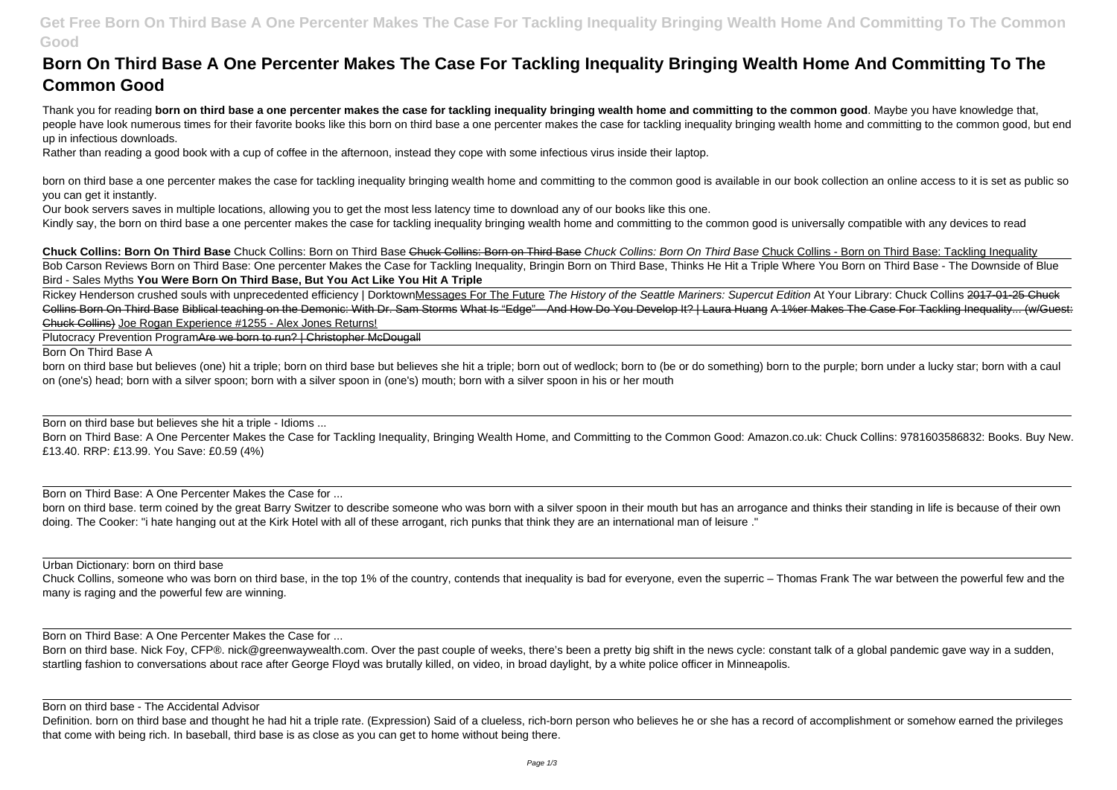# **Get Free Born On Third Base A One Percenter Makes The Case For Tackling Inequality Bringing Wealth Home And Committing To The Common Good**

# **Born On Third Base A One Percenter Makes The Case For Tackling Inequality Bringing Wealth Home And Committing To The Common Good**

Thank you for reading **born on third base a one percenter makes the case for tackling inequality bringing wealth home and committing to the common good**. Maybe you have knowledge that, people have look numerous times for their favorite books like this born on third base a one percenter makes the case for tackling inequality bringing wealth home and committing to the common good, but end up in infectious downloads.

born on third base a one percenter makes the case for tackling inequality bringing wealth home and committing to the common good is available in our book collection an online access to it is set as public so you can get it instantly.

Rather than reading a good book with a cup of coffee in the afternoon, instead they cope with some infectious virus inside their laptop.

Our book servers saves in multiple locations, allowing you to get the most less latency time to download any of our books like this one.

Kindly say, the born on third base a one percenter makes the case for tackling inequality bringing wealth home and committing to the common good is universally compatible with any devices to read

Rickey Henderson crushed souls with unprecedented efficiency | DorktownMessages For The Future The History of the Seattle Mariners: Supercut Edition At Your Library: Chuck Collins 2017-01-25 Chuck Collins Born On Third Base Biblical teaching on the Demonic: With Dr. Sam Storms What Is "Edge"—And How Do You Develop It? | Laura Huang A 1%er Makes The Case For Tackling Inequality... (w/Guest: Chuck Collins) Joe Rogan Experience #1255 - Alex Jones Returns!

Born on Third Base: A One Percenter Makes the Case for Tackling Inequality, Bringing Wealth Home, and Committing to the Common Good: Amazon.co.uk: Chuck Collins: 9781603586832: Books. Buy New. £13.40. RRP: £13.99. You Save: £0.59 (4%)

**Chuck Collins: Born On Third Base** Chuck Collins: Born on Third Base Chuck Collins: Born on Third Base Chuck Collins: Born On Third Base Chuck Collins - Born on Third Base: Tackling Inequality Bob Carson Reviews Born on Third Base: One percenter Makes the Case for Tackling Inequality, Bringin Born on Third Base, Thinks He Hit a Triple Where You Born on Third Base - The Downside of Blue Bird - Sales Myths **You Were Born On Third Base, But You Act Like You Hit A Triple**

Plutocracy Prevention ProgramAre we born to run? | Christopher McDougall

Born On Third Base A

born on third base but believes (one) hit a triple; born on third base but believes she hit a triple; born out of wedlock; born to (be or do something) born to the purple; born under a lucky star; born with a caul on (one's) head; born with a silver spoon; born with a silver spoon in (one's) mouth; born with a silver spoon in his or her mouth

Born on third base but believes she hit a triple - Idioms ...

Born on Third Base: A One Percenter Makes the Case for ...

born on third base, term coined by the great Barry Switzer to describe someone who was born with a silver spoon in their mouth but has an arrogance and thinks their standing in life is because of their own doing. The Cooker: "i hate hanging out at the Kirk Hotel with all of these arrogant, rich punks that think they are an international man of leisure."

Urban Dictionary: born on third base

Chuck Collins, someone who was born on third base, in the top 1% of the country, contends that inequality is bad for everyone, even the superric – Thomas Frank The war between the powerful few and the many is raging and the powerful few are winning.

Born on Third Base: A One Percenter Makes the Case for ...

Born on third base. Nick Foy, CFP®. nick@greenwaywealth.com. Over the past couple of weeks, there's been a pretty big shift in the news cycle: constant talk of a global pandemic gave way in a sudden, startling fashion to conversations about race after George Floyd was brutally killed, on video, in broad daylight, by a white police officer in Minneapolis.

Born on third base - The Accidental Advisor

Definition. born on third base and thought he had hit a triple rate. (Expression) Said of a clueless, rich-born person who believes he or she has a record of accomplishment or somehow earned the privileges that come with being rich. In baseball, third base is as close as you can get to home without being there.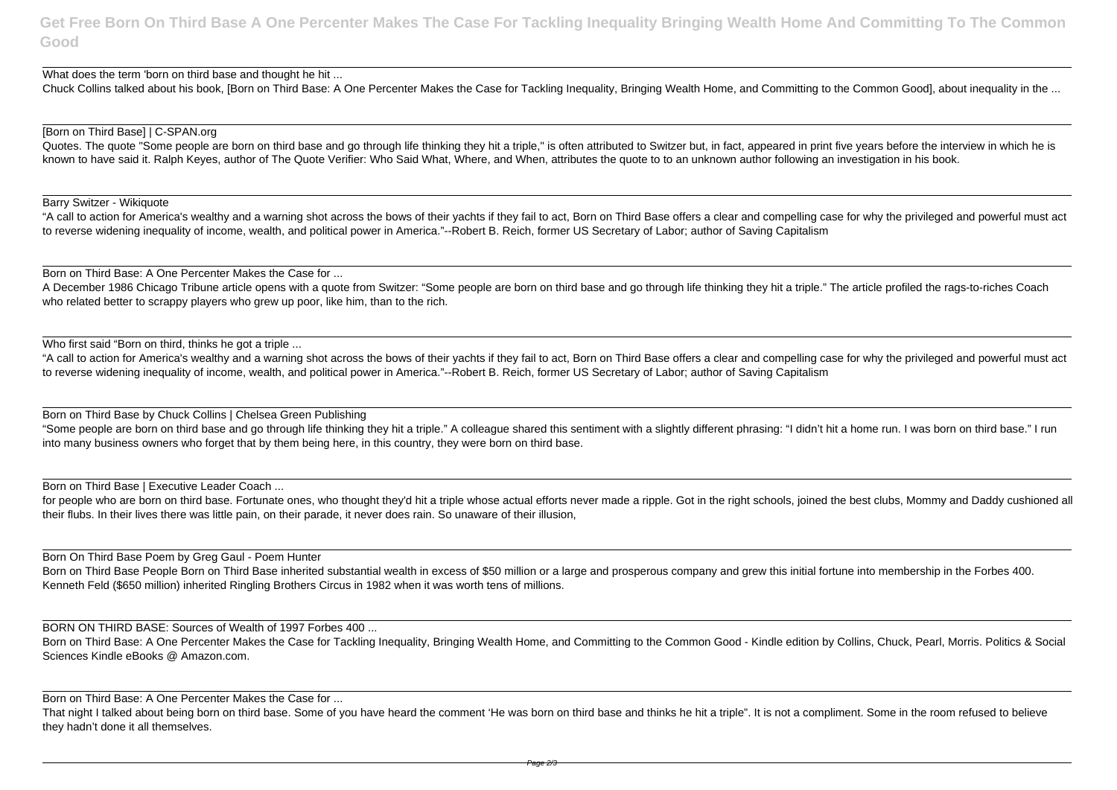**Get Free Born On Third Base A One Percenter Makes The Case For Tackling Inequality Bringing Wealth Home And Committing To The Common Good**

What does the term 'born on third base and thought he hit ...

Chuck Collins talked about his book, [Born on Third Base: A One Percenter Makes the Case for Tackling Inequality, Bringing Wealth Home, and Committing to the Common Good], about inequality in the ...

Quotes. The quote "Some people are born on third base and go through life thinking they hit a triple," is often attributed to Switzer but, in fact, appeared in print five years before the interview in which he is known to have said it. Ralph Keyes, author of The Quote Verifier: Who Said What, Where, and When, attributes the quote to to an unknown author following an investigation in his book.

### [Born on Third Base] | C-SPAN.org

Barry Switzer - Wikiquote

"A call to action for America's wealthy and a warning shot across the bows of their yachts if they fail to act, Born on Third Base offers a clear and compelling case for why the privileged and powerful must act to reverse widening inequality of income, wealth, and political power in America."--Robert B. Reich, former US Secretary of Labor; author of Saving Capitalism

Born on Third Base: A One Percenter Makes the Case for ...

for people who are born on third base. Fortunate ones, who thought they'd hit a triple whose actual efforts never made a ripple. Got in the right schools, joined the best clubs, Mommy and Daddy cushioned all their flubs. In their lives there was little pain, on their parade, it never does rain. So unaware of their illusion,

A December 1986 Chicago Tribune article opens with a quote from Switzer: "Some people are born on third base and go through life thinking they hit a triple." The article profiled the rags-to-riches Coach who related better to scrappy players who grew up poor, like him, than to the rich.

Who first said "Born on third, thinks he got a triple ...

Born on Third Base People Born on Third Base inherited substantial wealth in excess of \$50 million or a large and prosperous company and grew this initial fortune into membership in the Forbes 400. Kenneth Feld (\$650 million) inherited Ringling Brothers Circus in 1982 when it was worth tens of millions.

Born on Third Base: A One Percenter Makes the Case for Tackling Inequality, Bringing Wealth Home, and Committing to the Common Good - Kindle edition by Collins, Chuck, Pearl, Morris, Politics & Social Sciences Kindle eBooks @ Amazon.com.

"A call to action for America's wealthy and a warning shot across the bows of their yachts if they fail to act, Born on Third Base offers a clear and compelling case for why the privileged and powerful must act to reverse widening inequality of income, wealth, and political power in America."--Robert B. Reich, former US Secretary of Labor; author of Saving Capitalism

Born on Third Base by Chuck Collins | Chelsea Green Publishing

"Some people are born on third base and go through life thinking they hit a triple." A colleague shared this sentiment with a slightly different phrasing: "I didn't hit a home run. I was born on third base." I run into many business owners who forget that by them being here, in this country, they were born on third base.

Born on Third Base | Executive Leader Coach ...

Born On Third Base Poem by Greg Gaul - Poem Hunter

BORN ON THIRD BASE: Sources of Wealth of 1997 Forbes 400 ...

Born on Third Base: A One Percenter Makes the Case for ...

That night I talked about being born on third base. Some of you have heard the comment 'He was born on third base and thinks he hit a triple". It is not a compliment. Some in the room refused to believe they hadn't done it all themselves.